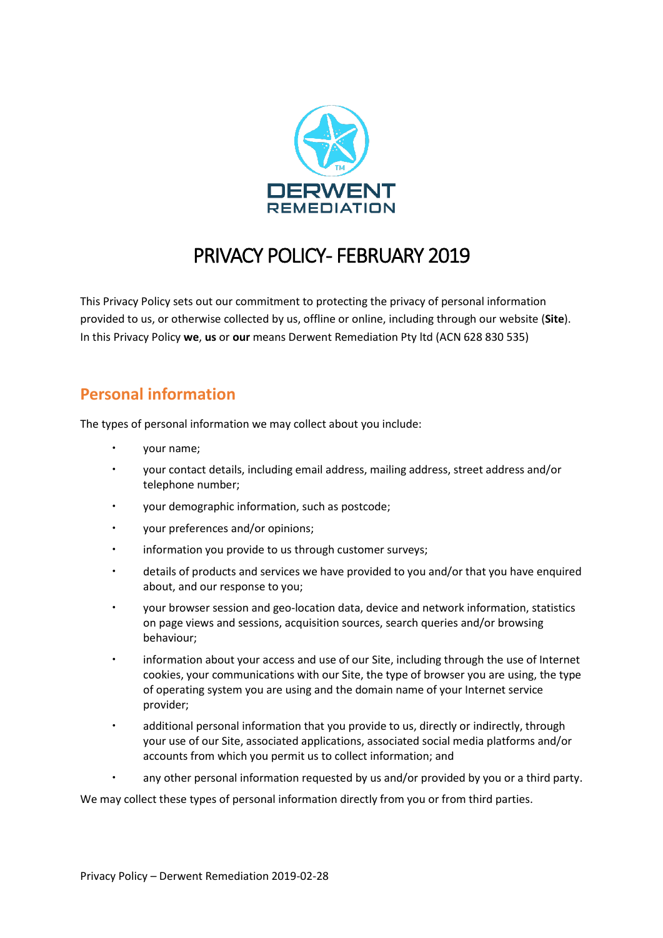

# PRIVACY POLICY- FEBRUARY 2019

This Privacy Policy sets out our commitment to protecting the privacy of personal information provided to us, or otherwise collected by us, offline or online, including through our website (**Site**). In this Privacy Policy **we**, **us** or **our** means Derwent Remediation Pty ltd (ACN 628 830 535)

## **Personal information**

The types of personal information we may collect about you include:

- your name;
- your contact details, including email address, mailing address, street address and/or telephone number;
- your demographic information, such as postcode;
- your preferences and/or opinions;
- information you provide to us through customer surveys;
- details of products and services we have provided to you and/or that you have enquired about, and our response to you;
- your browser session and geo-location data, device and network information, statistics on page views and sessions, acquisition sources, search queries and/or browsing behaviour;
- information about your access and use of our Site, including through the use of Internet cookies, your communications with our Site, the type of browser you are using, the type of operating system you are using and the domain name of your Internet service provider;
- additional personal information that you provide to us, directly or indirectly, through your use of our Site, associated applications, associated social media platforms and/or accounts from which you permit us to collect information; and
- any other personal information requested by us and/or provided by you or a third party.

We may collect these types of personal information directly from you or from third parties.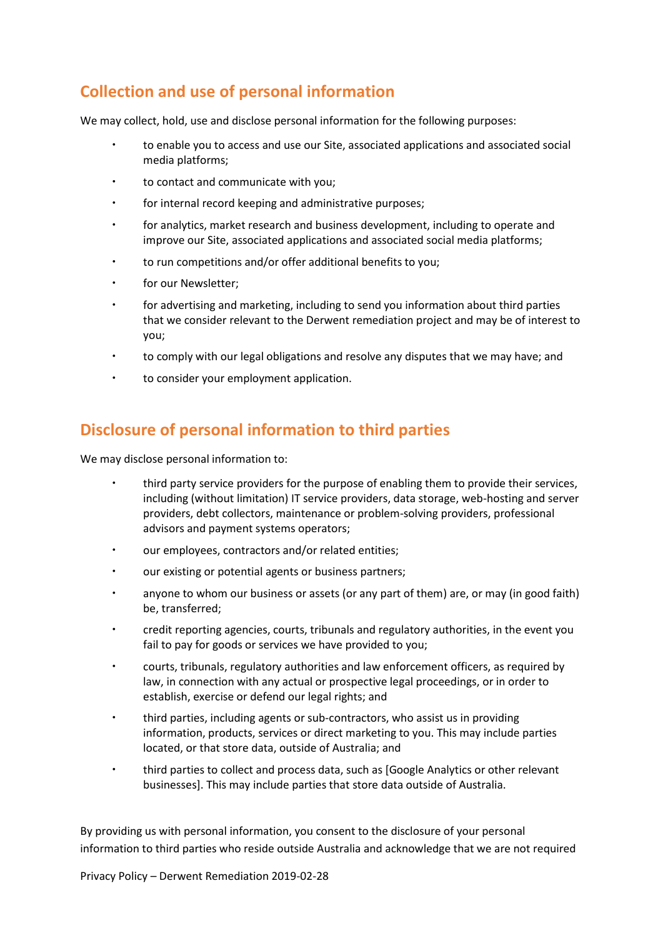## **Collection and use of personal information**

We may collect, hold, use and disclose personal information for the following purposes:

- to enable you to access and use our Site, associated applications and associated social media platforms;
- to contact and communicate with you;
- for internal record keeping and administrative purposes;
- for analytics, market research and business development, including to operate and improve our Site, associated applications and associated social media platforms;
- to run competitions and/or offer additional benefits to you;
- for our Newsletter;
- for advertising and marketing, including to send you information about third parties that we consider relevant to the Derwent remediation project and may be of interest to you;
- to comply with our legal obligations and resolve any disputes that we may have; and
- to consider your employment application.

## **Disclosure of personal information to third parties**

We may disclose personal information to:

- third party service providers for the purpose of enabling them to provide their services, including (without limitation) IT service providers, data storage, web-hosting and server providers, debt collectors, maintenance or problem-solving providers, professional advisors and payment systems operators;
- our employees, contractors and/or related entities;
- our existing or potential agents or business partners;
- anyone to whom our business or assets (or any part of them) are, or may (in good faith) be, transferred;
- credit reporting agencies, courts, tribunals and regulatory authorities, in the event you fail to pay for goods or services we have provided to you;
- courts, tribunals, regulatory authorities and law enforcement officers, as required by law, in connection with any actual or prospective legal proceedings, or in order to establish, exercise or defend our legal rights; and
- third parties, including agents or sub-contractors, who assist us in providing information, products, services or direct marketing to you. This may include parties located, or that store data, outside of Australia; and
- third parties to collect and process data, such as [Google Analytics or other relevant businesses]. This may include parties that store data outside of Australia.

By providing us with personal information, you consent to the disclosure of your personal information to third parties who reside outside Australia and acknowledge that we are not required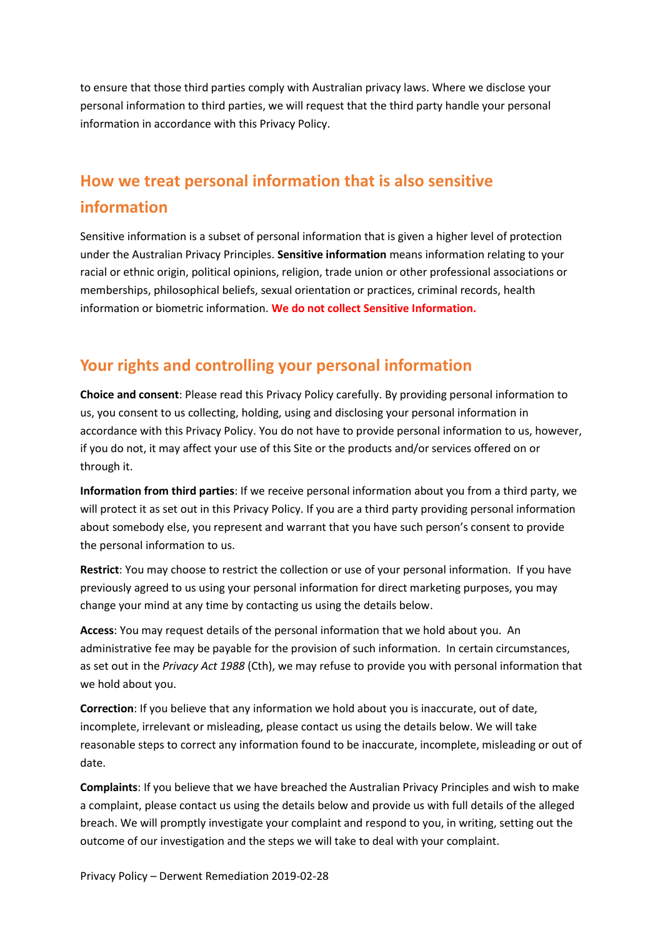to ensure that those third parties comply with Australian privacy laws. Where we disclose your personal information to third parties, we will request that the third party handle your personal information in accordance with this Privacy Policy.

## **How we treat personal information that is also sensitive information**

Sensitive information is a subset of personal information that is given a higher level of protection under the Australian Privacy Principles. **Sensitive information** means information relating to your racial or ethnic origin, political opinions, religion, trade union or other professional associations or memberships, philosophical beliefs, sexual orientation or practices, criminal records, health information or biometric information. **We do not collect Sensitive Information.**

## **Your rights and controlling your personal information**

**Choice and consent**: Please read this Privacy Policy carefully. By providing personal information to us, you consent to us collecting, holding, using and disclosing your personal information in accordance with this Privacy Policy. You do not have to provide personal information to us, however, if you do not, it may affect your use of this Site or the products and/or services offered on or through it.

**Information from third parties**: If we receive personal information about you from a third party, we will protect it as set out in this Privacy Policy. If you are a third party providing personal information about somebody else, you represent and warrant that you have such person's consent to provide the personal information to us.

**Restrict**: You may choose to restrict the collection or use of your personal information. If you have previously agreed to us using your personal information for direct marketing purposes, you may change your mind at any time by contacting us using the details below.

**Access**: You may request details of the personal information that we hold about you. An administrative fee may be payable for the provision of such information. In certain circumstances, as set out in the *Privacy Act 1988* (Cth), we may refuse to provide you with personal information that we hold about you.

**Correction**: If you believe that any information we hold about you is inaccurate, out of date, incomplete, irrelevant or misleading, please contact us using the details below. We will take reasonable steps to correct any information found to be inaccurate, incomplete, misleading or out of date.

**Complaints**: If you believe that we have breached the Australian Privacy Principles and wish to make a complaint, please contact us using the details below and provide us with full details of the alleged breach. We will promptly investigate your complaint and respond to you, in writing, setting out the outcome of our investigation and the steps we will take to deal with your complaint.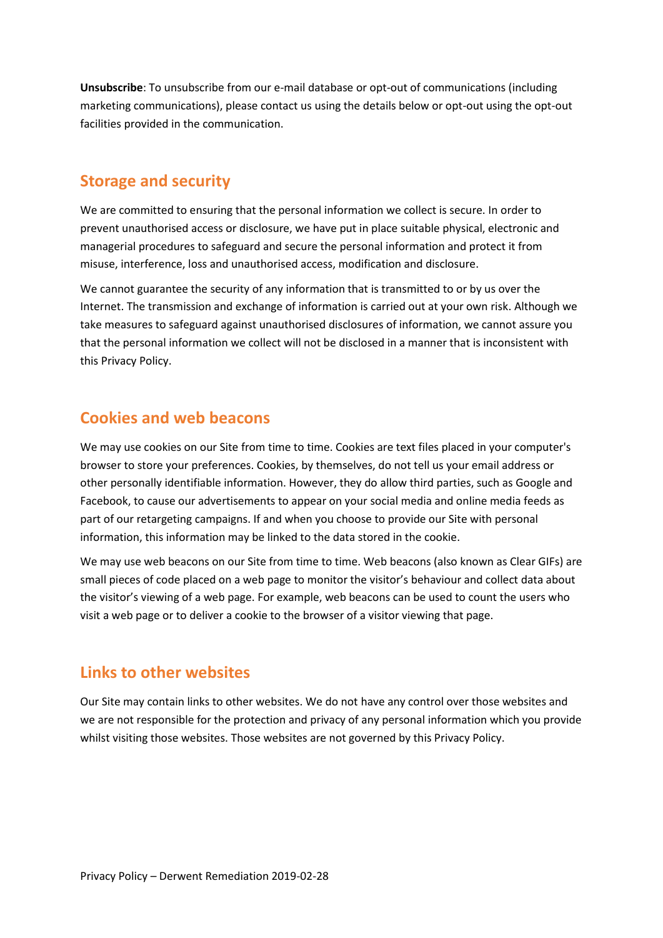**Unsubscribe**: To unsubscribe from our e-mail database or opt-out of communications (including marketing communications), please contact us using the details below or opt-out using the opt-out facilities provided in the communication.

#### **Storage and security**

We are committed to ensuring that the personal information we collect is secure. In order to prevent unauthorised access or disclosure, we have put in place suitable physical, electronic and managerial procedures to safeguard and secure the personal information and protect it from misuse, interference, loss and unauthorised access, modification and disclosure.

We cannot guarantee the security of any information that is transmitted to or by us over the Internet. The transmission and exchange of information is carried out at your own risk. Although we take measures to safeguard against unauthorised disclosures of information, we cannot assure you that the personal information we collect will not be disclosed in a manner that is inconsistent with this Privacy Policy.

### **Cookies and web beacons**

We may use cookies on our Site from time to time. Cookies are text files placed in your computer's browser to store your preferences. Cookies, by themselves, do not tell us your email address or other personally identifiable information. However, they do allow third parties, such as Google and Facebook, to cause our advertisements to appear on your social media and online media feeds as part of our retargeting campaigns. If and when you choose to provide our Site with personal information, this information may be linked to the data stored in the cookie.

We may use web beacons on our Site from time to time. Web beacons (also known as Clear GIFs) are small pieces of code placed on a web page to monitor the visitor's behaviour and collect data about the visitor's viewing of a web page. For example, web beacons can be used to count the users who visit a web page or to deliver a cookie to the browser of a visitor viewing that page.

## **Links to other websites**

Our Site may contain links to other websites. We do not have any control over those websites and we are not responsible for the protection and privacy of any personal information which you provide whilst visiting those websites. Those websites are not governed by this Privacy Policy.